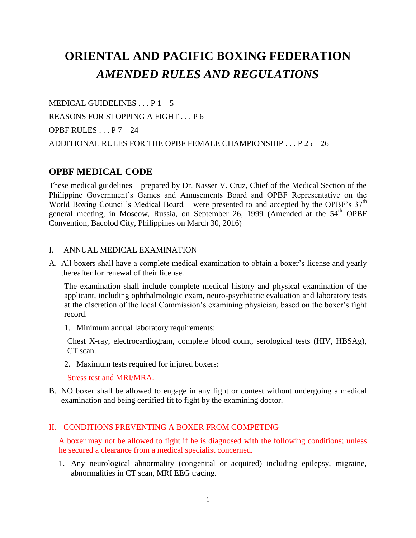# **ORIENTAL AND PACIFIC BOXING FEDERATION** *AMENDED RULES AND REGULATIONS*

MEDICAL GUIDELINES  $\ldots$  P 1 – 5 REASONS FOR STOPPING A FIGHT . . . P 6 OPBF RULES  $\ldots$  P  $7-24$ ADDITIONAL RULES FOR THE OPBF FEMALE CHAMPIONSHIP . . . P 25 – 26

# **OPBF MEDICAL CODE**

These medical guidelines – prepared by Dr. Nasser V. Cruz, Chief of the Medical Section of the Philippine Government's Games and Amusements Board and OPBF Representative on the World Boxing Council's Medical Board – were presented to and accepted by the OPBF's  $37<sup>th</sup>$ general meeting, in Moscow, Russia, on September 26, 1999 (Amended at the 54<sup>th</sup> OPBF Convention, Bacolod City, Philippines on March 30, 2016)

## I. ANNUAL MEDICAL EXAMINATION

A. All boxers shall have a complete medical examination to obtain a boxer's license and yearly thereafter for renewal of their license.

The examination shall include complete medical history and physical examination of the applicant, including ophthalmologic exam, neuro-psychiatric evaluation and laboratory tests at the discretion of the local Commission's examining physician, based on the boxer's fight record.

1. Minimum annual laboratory requirements:

Chest X-ray, electrocardiogram, complete blood count, serological tests (HIV, HBSAg), CT scan.

2. Maximum tests required for injured boxers:

Stress test and MRI/MRA.

B. NO boxer shall be allowed to engage in any fight or contest without undergoing a medical examination and being certified fit to fight by the examining doctor.

# II. CONDITIONS PREVENTING A BOXER FROM COMPETING

A boxer may not be allowed to fight if he is diagnosed with the following conditions; unless he secured a clearance from a medical specialist concerned.

1. Any neurological abnormality (congenital or acquired) including epilepsy, migraine, abnormalities in CT scan, MRI EEG tracing.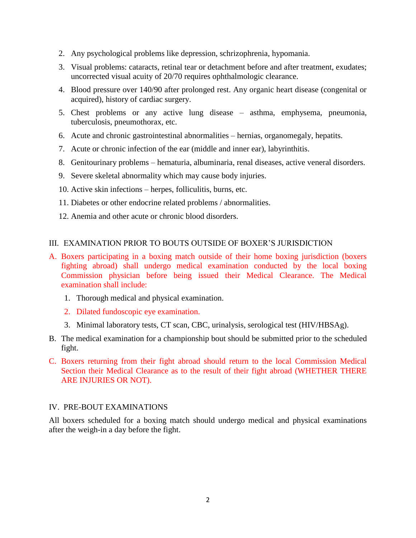- 2. Any psychological problems like depression, schrizophrenia, hypomania.
- 3. Visual problems: cataracts, retinal tear or detachment before and after treatment, exudates; uncorrected visual acuity of 20/70 requires ophthalmologic clearance.
- 4. Blood pressure over 140/90 after prolonged rest. Any organic heart disease (congenital or acquired), history of cardiac surgery.
- 5. Chest problems or any active lung disease asthma, emphysema, pneumonia, tuberculosis, pneumothorax, etc.
- 6. Acute and chronic gastrointestinal abnormalities hernias, organomegaly, hepatits.
- 7. Acute or chronic infection of the ear (middle and inner ear), labyrinthitis.
- 8. Genitourinary problems hematuria, albuminaria, renal diseases, active veneral disorders.
- 9. Severe skeletal abnormality which may cause body injuries.
- 10. Active skin infections herpes, folliculitis, burns, etc.
- 11. Diabetes or other endocrine related problems / abnormalities.
- 12. Anemia and other acute or chronic blood disorders.

### III. EXAMINATION PRIOR TO BOUTS OUTSIDE OF BOXER'S JURISDICTION

- A. Boxers participating in a boxing match outside of their home boxing jurisdiction (boxers fighting abroad) shall undergo medical examination conducted by the local boxing Commission physician before being issued their Medical Clearance. The Medical examination shall include:
	- 1. Thorough medical and physical examination.
	- 2. Dilated fundoscopic eye examination.
	- 3. Minimal laboratory tests, CT scan, CBC, urinalysis, serological test (HIV/HBSAg).
- B. The medical examination for a championship bout should be submitted prior to the scheduled fight.
- C. Boxers returning from their fight abroad should return to the local Commission Medical Section their Medical Clearance as to the result of their fight abroad (WHETHER THERE ARE INJURIES OR NOT).

### IV. PRE-BOUT EXAMINATIONS

All boxers scheduled for a boxing match should undergo medical and physical examinations after the weigh-in a day before the fight.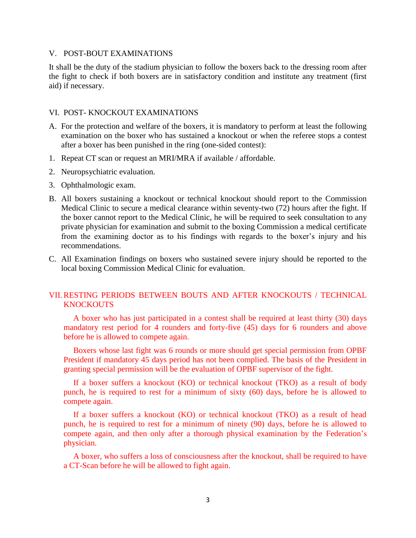### V. POST-BOUT EXAMINATIONS

It shall be the duty of the stadium physician to follow the boxers back to the dressing room after the fight to check if both boxers are in satisfactory condition and institute any treatment (first aid) if necessary.

### VI. POST- KNOCKOUT EXAMINATIONS

- A. For the protection and welfare of the boxers, it is mandatory to perform at least the following examination on the boxer who has sustained a knockout or when the referee stops a contest after a boxer has been punished in the ring (one-sided contest):
- 1. Repeat CT scan or request an MRI/MRA if available / affordable.
- 2. Neuropsychiatric evaluation.
- 3. Ophthalmologic exam.
- B. All boxers sustaining a knockout or technical knockout should report to the Commission Medical Clinic to secure a medical clearance within seventy-two (72) hours after the fight. If the boxer cannot report to the Medical Clinic, he will be required to seek consultation to any private physician for examination and submit to the boxing Commission a medical certificate from the examining doctor as to his findings with regards to the boxer's injury and his recommendations.
- C. All Examination findings on boxers who sustained severe injury should be reported to the local boxing Commission Medical Clinic for evaluation.

## VII. RESTING PERIODS BETWEEN BOUTS AND AFTER KNOCKOUTS / TECHNICAL **KNOCKOUTS**

A boxer who has just participated in a contest shall be required at least thirty (30) days mandatory rest period for 4 rounders and forty-five (45) days for 6 rounders and above before he is allowed to compete again.

Boxers whose last fight was 6 rounds or more should get special permission from OPBF President if mandatory 45 days period has not been complied. The basis of the President in granting special permission will be the evaluation of OPBF supervisor of the fight.

If a boxer suffers a knockout (KO) or technical knockout (TKO) as a result of body punch, he is required to rest for a minimum of sixty (60) days, before he is allowed to compete again.

If a boxer suffers a knockout (KO) or technical knockout (TKO) as a result of head punch, he is required to rest for a minimum of ninety (90) days, before he is allowed to compete again, and then only after a thorough physical examination by the Federation's physician.

A boxer, who suffers a loss of consciousness after the knockout, shall be required to have a CT-Scan before he will be allowed to fight again.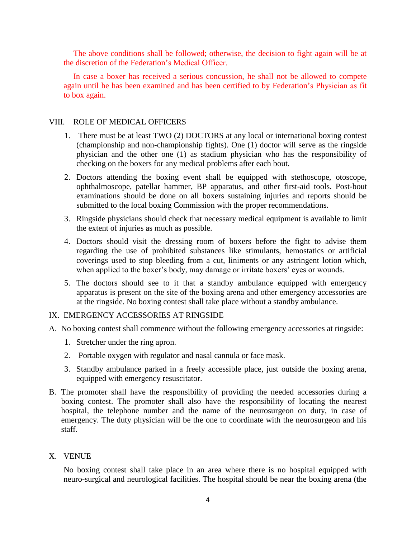The above conditions shall be followed; otherwise, the decision to fight again will be at the discretion of the Federation's Medical Officer.

In case a boxer has received a serious concussion, he shall not be allowed to compete again until he has been examined and has been certified to by Federation's Physician as fit to box again.

### VIII. ROLE OF MEDICAL OFFICERS

- 1. There must be at least TWO (2) DOCTORS at any local or international boxing contest (championship and non-championship fights). One (1) doctor will serve as the ringside physician and the other one (1) as stadium physician who has the responsibility of checking on the boxers for any medical problems after each bout.
- 2. Doctors attending the boxing event shall be equipped with stethoscope, otoscope, ophthalmoscope, patellar hammer, BP apparatus, and other first-aid tools. Post-bout examinations should be done on all boxers sustaining injuries and reports should be submitted to the local boxing Commission with the proper recommendations.
- 3. Ringside physicians should check that necessary medical equipment is available to limit the extent of injuries as much as possible.
- 4. Doctors should visit the dressing room of boxers before the fight to advise them regarding the use of prohibited substances like stimulants, hemostatics or artificial coverings used to stop bleeding from a cut, liniments or any astringent lotion which, when applied to the boxer's body, may damage or irritate boxers' eyes or wounds.
- 5. The doctors should see to it that a standby ambulance equipped with emergency apparatus is present on the site of the boxing arena and other emergency accessories are at the ringside. No boxing contest shall take place without a standby ambulance.

### IX. EMERGENCY ACCESSORIES AT RINGSIDE

- A. No boxing contest shall commence without the following emergency accessories at ringside:
	- 1. Stretcher under the ring apron.
	- 2. Portable oxygen with regulator and nasal cannula or face mask.
	- 3. Standby ambulance parked in a freely accessible place, just outside the boxing arena, equipped with emergency resuscitator.
- B. The promoter shall have the responsibility of providing the needed accessories during a boxing contest. The promoter shall also have the responsibility of locating the nearest hospital, the telephone number and the name of the neurosurgeon on duty, in case of emergency. The duty physician will be the one to coordinate with the neurosurgeon and his staff.

### X. VENUE

No boxing contest shall take place in an area where there is no hospital equipped with neuro-surgical and neurological facilities. The hospital should be near the boxing arena (the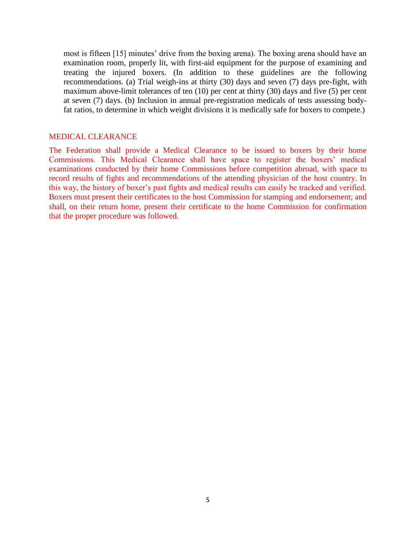most is fifteen [15] minutes' drive from the boxing arena). The boxing arena should have an examination room, properly lit, with first-aid equipment for the purpose of examining and treating the injured boxers. (In addition to these guidelines are the following recommendations. (a) Trial weigh-ins at thirty (30) days and seven (7) days pre-fight, with maximum above-limit tolerances of ten (10) per cent at thirty (30) days and five (5) per cent at seven (7) days. (b) Inclusion in annual pre-registration medicals of tests assessing bodyfat ratios, to determine in which weight divisions it is medically safe for boxers to compete.)

#### MEDICAL CLEARANCE

The Federation shall provide a Medical Clearance to be issued to boxers by their home Commissions. This Medical Clearance shall have space to register the boxers' medical examinations conducted by their home Commissions before competition abroad, with space to record results of fights and recommendations of the attending physician of the host country. In this way, the history of boxer's past fights and medical results can easily be tracked and verified. Boxers must present their certificates to the host Commission for stamping and endorsement; and shall, on their return home, present their certificate to the home Commission for confirmation that the proper procedure was followed.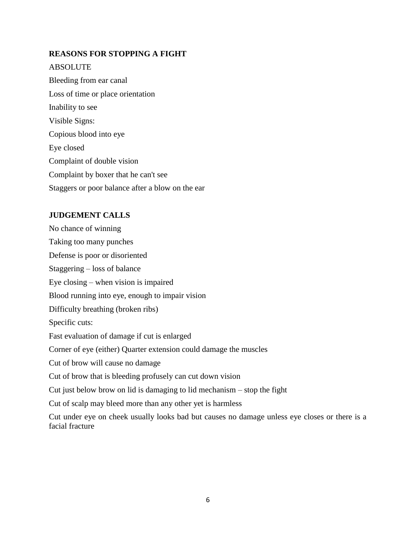## **REASONS FOR STOPPING A FIGHT**

ABSOLUTE Bleeding from ear canal Loss of time or place orientation Inability to see Visible Signs: Copious blood into eye Eye closed Complaint of double vision Complaint by boxer that he can't see Staggers or poor balance after a blow on the ear

## **JUDGEMENT CALLS**

No chance of winning Taking too many punches Defense is poor or disoriented Staggering – loss of balance Eye closing – when vision is impaired Blood running into eye, enough to impair vision Difficulty breathing (broken ribs) Specific cuts: Fast evaluation of damage if cut is enlarged Corner of eye (either) Quarter extension could damage the muscles Cut of brow will cause no damage Cut of brow that is bleeding profusely can cut down vision Cut just below brow on lid is damaging to lid mechanism – stop the fight Cut of scalp may bleed more than any other yet is harmless Cut under eye on cheek usually looks bad but causes no damage unless eye closes or there is a facial fracture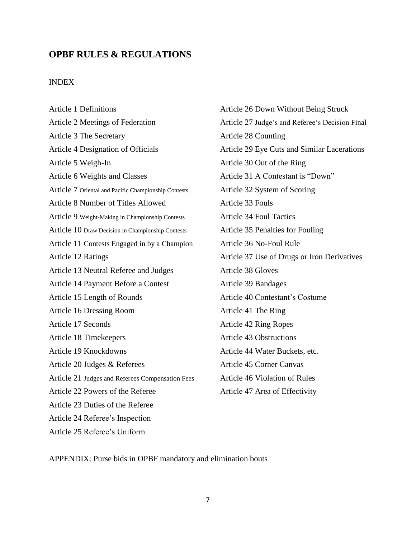# **OPBF RULES & REGULATIONS**

# INDEX

| <b>Article 1 Definitions</b>                         | Article 26 Down Without Being Struck            |  |
|------------------------------------------------------|-------------------------------------------------|--|
| Article 2 Meetings of Federation                     | Article 27 Judge's and Referee's Decision Final |  |
| Article 3 The Secretary                              | Article 28 Counting                             |  |
| Article 4 Designation of Officials                   | Article 29 Eye Cuts and Similar Lacerations     |  |
| Article 5 Weigh-In                                   | Article 30 Out of the Ring                      |  |
| Article 6 Weights and Classes                        | Article 31 A Contestant is "Down"               |  |
| Article 7 Oriental and Pacific Championship Contests | Article 32 System of Scoring                    |  |
| Article 8 Number of Titles Allowed                   | Article 33 Fouls                                |  |
| Article 9 Weight-Making in Championship Contests     | <b>Article 34 Foul Tactics</b>                  |  |
| Article 10 Draw Decision in Championship Contests    | Article 35 Penalties for Fouling                |  |
| Article 11 Contests Engaged in by a Champion         | Article 36 No-Foul Rule                         |  |
| Article 12 Ratings                                   | Article 37 Use of Drugs or Iron Derivatives     |  |
| Article 13 Neutral Referee and Judges                | <b>Article 38 Gloves</b>                        |  |
| Article 14 Payment Before a Contest                  | Article 39 Bandages                             |  |
| Article 15 Length of Rounds                          | Article 40 Contestant's Costume                 |  |
| Article 16 Dressing Room                             | Article 41 The Ring                             |  |
| Article 17 Seconds                                   | Article 42 Ring Ropes                           |  |
| Article 18 Timekeepers                               | <b>Article 43 Obstructions</b>                  |  |
| Article 19 Knockdowns                                | Article 44 Water Buckets, etc.                  |  |
| Article 20 Judges & Referees                         | Article 45 Corner Canvas                        |  |
| Article 21 Judges and Referees Compensation Fees     | Article 46 Violation of Rules                   |  |
| Article 22 Powers of the Referee                     | Article 47 Area of Effectivity                  |  |
| Article 23 Duties of the Referee                     |                                                 |  |
| Article 24 Referee's Inspection                      |                                                 |  |
| Article 25 Referee's Uniform                         |                                                 |  |

APPENDIX: Purse bids in OPBF mandatory and elimination bouts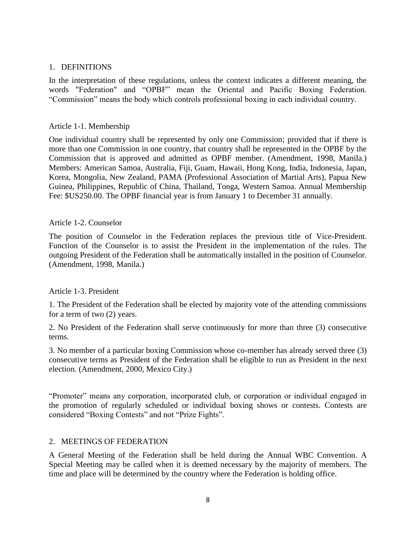### 1. DEFINITIONS

In the interpretation of these regulations, unless the context indicates a different meaning, the words "Federation" and "OPBF" mean the Oriental and Pacific Boxing Federation. "Commission" means the body which controls professional boxing in each individual country.

## Article 1-1. Membership

One individual country shall be represented by only one Commission; provided that if there is more than one Commission in one country, that country shall be represented in the OPBF by the Commission that is approved and admitted as OPBF member. (Amendment, 1998, Manila.) Members: American Samoa, Australia, Fiji, Guam, Hawaii, Hong Kong, India, Indonesia, Japan, Korea, Mongolia, New Zealand, PAMA (Professional Association of Martial Arts), Papua New Guinea, Philippines, Republic of China, Thailand, Tonga, Western Samoa. Annual Membership Fee: \$US250.00. The OPBF financial year is from January 1 to December 31 annually.

## Article 1-2. Counselor

The position of Counselor in the Federation replaces the previous title of Vice-President. Function of the Counselor is to assist the President in the implementation of the rules. The outgoing President of the Federation shall be automatically installed in the position of Counselor. (Amendment, 1998, Manila.)

### Article 1-3. President

1. The President of the Federation shall be elected by majority vote of the attending commissions for a term of two (2) years.

2. No President of the Federation shall serve continuously for more than three (3) consecutive terms.

3. No member of a particular boxing Commission whose co-member has already served three (3) consecutive terms as President of the Federation shall be eligible to run as President in the next election. (Amendment, 2000, Mexico City.)

"Promoter" means any corporation, incorporated club, or corporation or individual engaged in the promotion of regularly scheduled or individual boxing shows or contests. Contests are considered "Boxing Contests" and not "Prize Fights".

### 2. MEETINGS OF FEDERATION

A General Meeting of the Federation shall be held during the Annual WBC Convention. A Special Meeting may be called when it is deemed necessary by the majority of members. The time and place will be determined by the country where the Federation is holding office.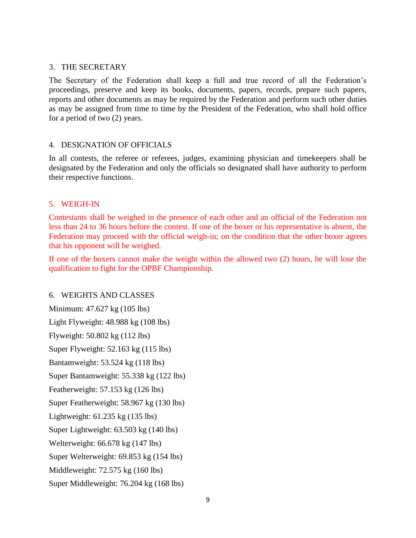### 3. THE SECRETARY

The Secretary of the Federation shall keep a full and true record of all the Federation's proceedings, preserve and keep its books, documents, papers, records, prepare such papers, reports and other documents as may be required by the Federation and perform such other duties as may be assigned from time to time by the President of the Federation, who shall hold office for a period of two (2) years.

### 4. DESIGNATION OF OFFICIALS

In all contests, the referee or referees, judges, examining physician and timekeepers shall be designated by the Federation and only the officials so designated shall have authority to perform their respective functions.

### 5. WEIGH-IN

Contestants shall be weighed in the presence of each other and an official of the Federation not less than 24 to 36 hours before the contest. If one of the boxer or his representative is absent, the Federation may proceed with the official weigh-in; on the condition that the other boxer agrees that his opponent will be weighed.

If one of the boxers cannot make the weight within the allowed two (2) hours, he will lose the qualification to fight for the OPBF Championship.

# 6. WEIGHTS AND CLASSES

Minimum: 47.627 kg (105 lbs) Light Flyweight: 48.988 kg (108 lbs) Flyweight: 50.802 kg (112 lbs) Super Flyweight: 52.163 kg (115 lbs) Bantamweight: 53.524 kg (118 lbs) Super Bantamweight: 55.338 kg (122 lbs) Featherweight: 57.153 kg (126 lbs) Super Featherweight: 58.967 kg (130 lbs) Lightweight: 61.235 kg (135 lbs) Super Lightweight: 63.503 kg (140 lbs) Welterweight: 66.678 kg (147 lbs) Super Welterweight: 69.853 kg (154 lbs) Middleweight: 72.575 kg (160 lbs) Super Middleweight: 76.204 kg (168 lbs)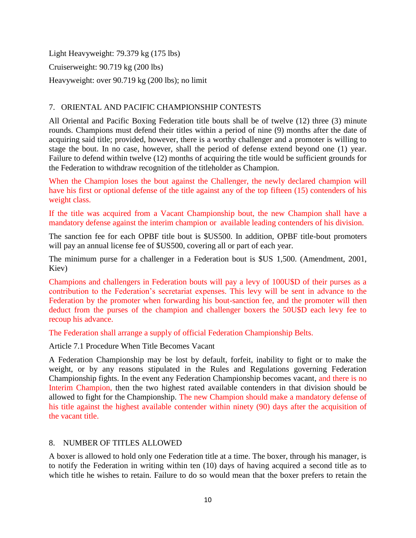Light Heavyweight: 79.379 kg (175 lbs) Cruiserweight: 90.719 kg (200 lbs) Heavyweight: over 90.719 kg (200 lbs); no limit

# 7. ORIENTAL AND PACIFIC CHAMPIONSHIP CONTESTS

All Oriental and Pacific Boxing Federation title bouts shall be of twelve (12) three (3) minute rounds. Champions must defend their titles within a period of nine (9) months after the date of acquiring said title; provided, however, there is a worthy challenger and a promoter is willing to stage the bout. In no case, however, shall the period of defense extend beyond one (1) year. Failure to defend within twelve (12) months of acquiring the title would be sufficient grounds for the Federation to withdraw recognition of the titleholder as Champion.

When the Champion loses the bout against the Challenger, the newly declared champion will have his first or optional defense of the title against any of the top fifteen (15) contenders of his weight class.

If the title was acquired from a Vacant Championship bout, the new Champion shall have a mandatory defense against the interim champion or available leading contenders of his division.

The sanction fee for each OPBF title bout is \$US500. In addition, OPBF title-bout promoters will pay an annual license fee of \$US500, covering all or part of each year.

The minimum purse for a challenger in a Federation bout is \$US 1,500. (Amendment, 2001, Kiev)

Champions and challengers in Federation bouts will pay a levy of 100U\$D of their purses as a contribution to the Federation's secretariat expenses. This levy will be sent in advance to the Federation by the promoter when forwarding his bout-sanction fee, and the promoter will then deduct from the purses of the champion and challenger boxers the 50U\$D each levy fee to recoup his advance.

The Federation shall arrange a supply of official Federation Championship Belts.

Article 7.1 Procedure When Title Becomes Vacant

A Federation Championship may be lost by default, forfeit, inability to fight or to make the weight, or by any reasons stipulated in the Rules and Regulations governing Federation Championship fights. In the event any Federation Championship becomes vacant, and there is no Interim Champion, then the two highest rated available contenders in that division should be allowed to fight for the Championship. The new Champion should make a mandatory defense of his title against the highest available contender within ninety (90) days after the acquisition of the vacant title.

# 8. NUMBER OF TITLES ALLOWED

A boxer is allowed to hold only one Federation title at a time. The boxer, through his manager, is to notify the Federation in writing within ten (10) days of having acquired a second title as to which title he wishes to retain. Failure to do so would mean that the boxer prefers to retain the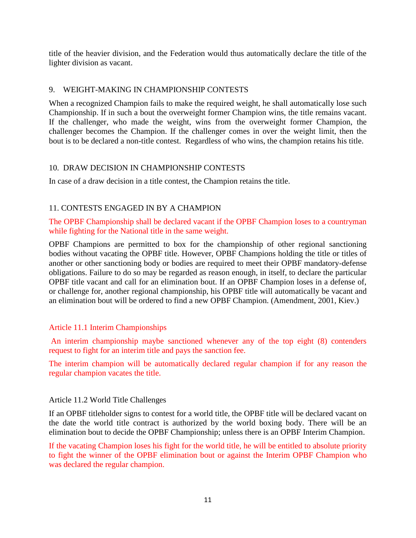title of the heavier division, and the Federation would thus automatically declare the title of the lighter division as vacant.

## 9. WEIGHT-MAKING IN CHAMPIONSHIP CONTESTS

When a recognized Champion fails to make the required weight, he shall automatically lose such Championship. If in such a bout the overweight former Champion wins, the title remains vacant. If the challenger, who made the weight, wins from the overweight former Champion, the challenger becomes the Champion. If the challenger comes in over the weight limit, then the bout is to be declared a non-title contest. Regardless of who wins, the champion retains his title.

## 10. DRAW DECISION IN CHAMPIONSHIP CONTESTS

In case of a draw decision in a title contest, the Champion retains the title.

# 11. CONTESTS ENGAGED IN BY A CHAMPION

The OPBF Championship shall be declared vacant if the OPBF Champion loses to a countryman while fighting for the National title in the same weight.

OPBF Champions are permitted to box for the championship of other regional sanctioning bodies without vacating the OPBF title. However, OPBF Champions holding the title or titles of another or other sanctioning body or bodies are required to meet their OPBF mandatory-defense obligations. Failure to do so may be regarded as reason enough, in itself, to declare the particular OPBF title vacant and call for an elimination bout. If an OPBF Champion loses in a defense of, or challenge for, another regional championship, his OPBF title will automatically be vacant and an elimination bout will be ordered to find a new OPBF Champion. (Amendment, 2001, Kiev.)

# Article 11.1 Interim Championships

An interim championship maybe sanctioned whenever any of the top eight (8) contenders request to fight for an interim title and pays the sanction fee.

The interim champion will be automatically declared regular champion if for any reason the regular champion vacates the title.

### Article 11.2 World Title Challenges

If an OPBF titleholder signs to contest for a world title, the OPBF title will be declared vacant on the date the world title contract is authorized by the world boxing body. There will be an elimination bout to decide the OPBF Championship; unless there is an OPBF Interim Champion.

If the vacating Champion loses his fight for the world title, he will be entitled to absolute priority to fight the winner of the OPBF elimination bout or against the Interim OPBF Champion who was declared the regular champion.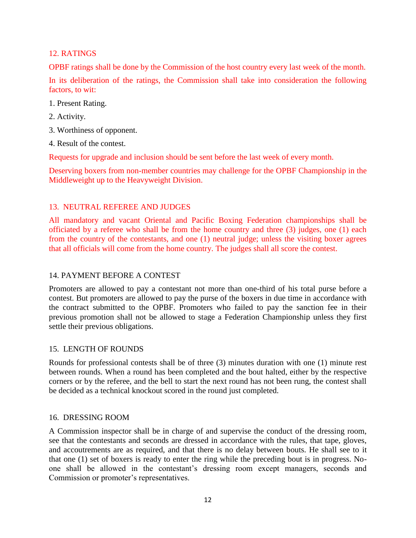# 12. RATINGS

OPBF ratings shall be done by the Commission of the host country every last week of the month.

In its deliberation of the ratings, the Commission shall take into consideration the following factors, to wit:

- 1. Present Rating.
- 2. Activity.
- 3. Worthiness of opponent.
- 4. Result of the contest.

Requests for upgrade and inclusion should be sent before the last week of every month.

Deserving boxers from non-member countries may challenge for the OPBF Championship in the Middleweight up to the Heavyweight Division.

## 13. NEUTRAL REFEREE AND JUDGES

All mandatory and vacant Oriental and Pacific Boxing Federation championships shall be officiated by a referee who shall be from the home country and three (3) judges, one (1) each from the country of the contestants, and one (1) neutral judge; unless the visiting boxer agrees that all officials will come from the home country. The judges shall all score the contest.

# 14. PAYMENT BEFORE A CONTEST

Promoters are allowed to pay a contestant not more than one-third of his total purse before a contest. But promoters are allowed to pay the purse of the boxers in due time in accordance with the contract submitted to the OPBF. Promoters who failed to pay the sanction fee in their previous promotion shall not be allowed to stage a Federation Championship unless they first settle their previous obligations.

### 15. LENGTH OF ROUNDS

Rounds for professional contests shall be of three (3) minutes duration with one (1) minute rest between rounds. When a round has been completed and the bout halted, either by the respective corners or by the referee, and the bell to start the next round has not been rung, the contest shall be decided as a technical knockout scored in the round just completed.

### 16. DRESSING ROOM

A Commission inspector shall be in charge of and supervise the conduct of the dressing room, see that the contestants and seconds are dressed in accordance with the rules, that tape, gloves, and accoutrements are as required, and that there is no delay between bouts. He shall see to it that one (1) set of boxers is ready to enter the ring while the preceding bout is in progress. Noone shall be allowed in the contestant's dressing room except managers, seconds and Commission or promoter's representatives.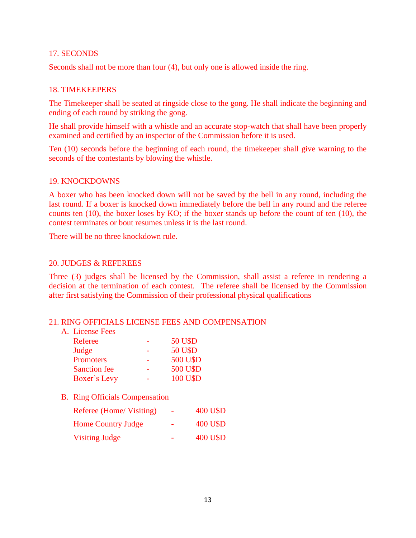### 17. SECONDS

Seconds shall not be more than four (4), but only one is allowed inside the ring.

### 18. TIMEKEEPERS

The Timekeeper shall be seated at ringside close to the gong. He shall indicate the beginning and ending of each round by striking the gong.

He shall provide himself with a whistle and an accurate stop-watch that shall have been properly examined and certified by an inspector of the Commission before it is used.

Ten (10) seconds before the beginning of each round, the timekeeper shall give warning to the seconds of the contestants by blowing the whistle.

### 19. KNOCKDOWNS

A boxer who has been knocked down will not be saved by the bell in any round, including the last round. If a boxer is knocked down immediately before the bell in any round and the referee counts ten (10), the boxer loses by KO; if the boxer stands up before the count of ten (10), the contest terminates or bout resumes unless it is the last round.

There will be no three knockdown rule.

### 20. JUDGES & REFEREES

Three (3) judges shall be licensed by the Commission, shall assist a referee in rendering a decision at the termination of each contest. The referee shall be licensed by the Commission after first satisfying the Commission of their professional physical qualifications

### 21. RING OFFICIALS LICENSE FEES AND COMPENSATION

| Referee             | <b>50 U\$D</b>  |
|---------------------|-----------------|
| Judge               | <b>50 U\$D</b>  |
| <b>Promoters</b>    | <b>500 U\$D</b> |
| <b>Sanction fee</b> | <b>500 U\$D</b> |
| Boxer's Levy        | 100 U\$D        |

### B. Ring Officials Compensation

| Referee (Home/ Visiting)  | $\overline{\phantom{a}}$ | 400 U\$D |
|---------------------------|--------------------------|----------|
| <b>Home Country Judge</b> |                          | 400 U\$D |
| <b>Visiting Judge</b>     |                          | 400 U\$D |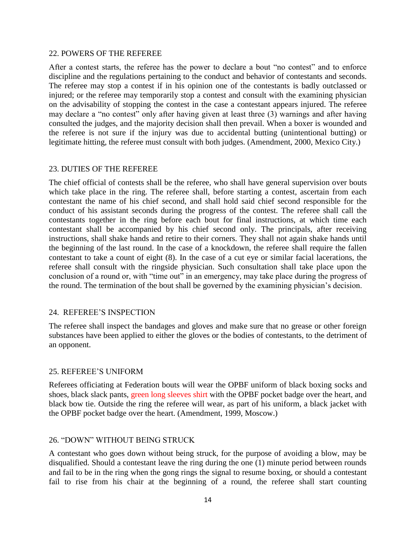### 22. POWERS OF THE REFEREE

After a contest starts, the referee has the power to declare a bout "no contest" and to enforce discipline and the regulations pertaining to the conduct and behavior of contestants and seconds. The referee may stop a contest if in his opinion one of the contestants is badly outclassed or injured; or the referee may temporarily stop a contest and consult with the examining physician on the advisability of stopping the contest in the case a contestant appears injured. The referee may declare a "no contest" only after having given at least three (3) warnings and after having consulted the judges, and the majority decision shall then prevail. When a boxer is wounded and the referee is not sure if the injury was due to accidental butting (unintentional butting) or legitimate hitting, the referee must consult with both judges. (Amendment, 2000, Mexico City.)

### 23. DUTIES OF THE REFEREE

The chief official of contests shall be the referee, who shall have general supervision over bouts which take place in the ring. The referee shall, before starting a contest, ascertain from each contestant the name of his chief second, and shall hold said chief second responsible for the conduct of his assistant seconds during the progress of the contest. The referee shall call the contestants together in the ring before each bout for final instructions, at which time each contestant shall be accompanied by his chief second only. The principals, after receiving instructions, shall shake hands and retire to their corners. They shall not again shake hands until the beginning of the last round. In the case of a knockdown, the referee shall require the fallen contestant to take a count of eight (8). In the case of a cut eye or similar facial lacerations, the referee shall consult with the ringside physician. Such consultation shall take place upon the conclusion of a round or, with "time out" in an emergency, may take place during the progress of the round. The termination of the bout shall be governed by the examining physician's decision.

### 24. REFEREE'S INSPECTION

The referee shall inspect the bandages and gloves and make sure that no grease or other foreign substances have been applied to either the gloves or the bodies of contestants, to the detriment of an opponent.

### 25. REFEREE'S UNIFORM

Referees officiating at Federation bouts will wear the OPBF uniform of black boxing socks and shoes, black slack pants, green long sleeves shirt with the OPBF pocket badge over the heart, and black bow tie. Outside the ring the referee will wear, as part of his uniform, a black jacket with the OPBF pocket badge over the heart. (Amendment, 1999, Moscow.)

### 26. "DOWN" WITHOUT BEING STRUCK

A contestant who goes down without being struck, for the purpose of avoiding a blow, may be disqualified. Should a contestant leave the ring during the one (1) minute period between rounds and fail to be in the ring when the gong rings the signal to resume boxing, or should a contestant fail to rise from his chair at the beginning of a round, the referee shall start counting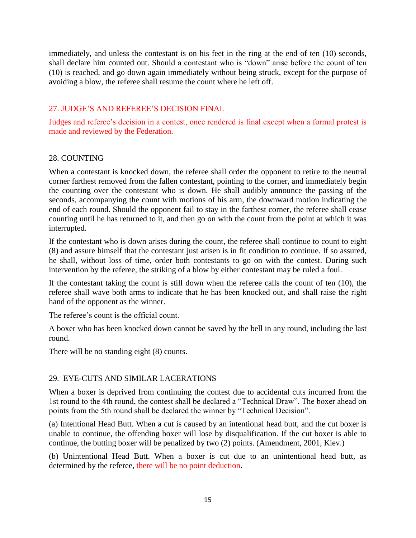immediately, and unless the contestant is on his feet in the ring at the end of ten (10) seconds, shall declare him counted out. Should a contestant who is "down" arise before the count of ten (10) is reached, and go down again immediately without being struck, except for the purpose of avoiding a blow, the referee shall resume the count where he left off.

# 27. JUDGE'S AND REFEREE'S DECISION FINAL

Judges and referee's decision in a contest, once rendered is final except when a formal protest is made and reviewed by the Federation.

## 28. COUNTING

When a contestant is knocked down, the referee shall order the opponent to retire to the neutral corner farthest removed from the fallen contestant, pointing to the corner, and immediately begin the counting over the contestant who is down. He shall audibly announce the passing of the seconds, accompanying the count with motions of his arm, the downward motion indicating the end of each round. Should the opponent fail to stay in the farthest corner, the referee shall cease counting until he has returned to it, and then go on with the count from the point at which it was interrupted.

If the contestant who is down arises during the count, the referee shall continue to count to eight (8) and assure himself that the contestant just arisen is in fit condition to continue. If so assured, he shall, without loss of time, order both contestants to go on with the contest. During such intervention by the referee, the striking of a blow by either contestant may be ruled a foul.

If the contestant taking the count is still down when the referee calls the count of ten (10), the referee shall wave both arms to indicate that he has been knocked out, and shall raise the right hand of the opponent as the winner.

The referee's count is the official count.

A boxer who has been knocked down cannot be saved by the bell in any round, including the last round.

There will be no standing eight (8) counts.

# 29. EYE-CUTS AND SIMILAR LACERATIONS

When a boxer is deprived from continuing the contest due to accidental cuts incurred from the 1st round to the 4th round, the contest shall be declared a "Technical Draw". The boxer ahead on points from the 5th round shall be declared the winner by "Technical Decision".

(a) Intentional Head Butt. When a cut is caused by an intentional head butt, and the cut boxer is unable to continue, the offending boxer will lose by disqualification. If the cut boxer is able to continue, the butting boxer will be penalized by two (2) points. (Amendment, 2001, Kiev.)

(b) Unintentional Head Butt. When a boxer is cut due to an unintentional head butt, as determined by the referee, there will be no point deduction.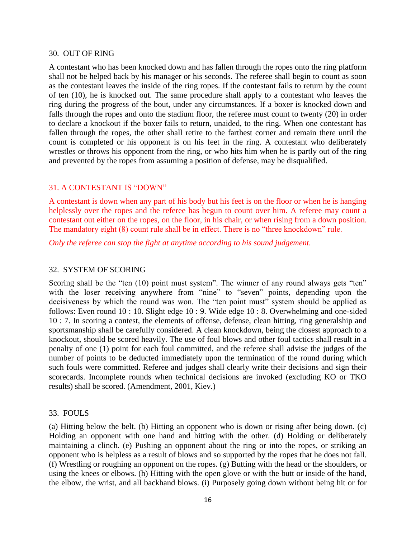#### 30. OUT OF RING

A contestant who has been knocked down and has fallen through the ropes onto the ring platform shall not be helped back by his manager or his seconds. The referee shall begin to count as soon as the contestant leaves the inside of the ring ropes. If the contestant fails to return by the count of ten (10), he is knocked out. The same procedure shall apply to a contestant who leaves the ring during the progress of the bout, under any circumstances. If a boxer is knocked down and falls through the ropes and onto the stadium floor, the referee must count to twenty (20) in order to declare a knockout if the boxer fails to return, unaided, to the ring. When one contestant has fallen through the ropes, the other shall retire to the farthest corner and remain there until the count is completed or his opponent is on his feet in the ring. A contestant who deliberately wrestles or throws his opponent from the ring, or who hits him when he is partly out of the ring and prevented by the ropes from assuming a position of defense, may be disqualified.

### 31. A CONTESTANT IS "DOWN"

A contestant is down when any part of his body but his feet is on the floor or when he is hanging helplessly over the ropes and the referee has begun to count over him. A referee may count a contestant out either on the ropes, on the floor, in his chair, or when rising from a down position. The mandatory eight (8) count rule shall be in effect. There is no "three knockdown" rule.

*Only the referee can stop the fight at anytime according to his sound judgement.*

### 32. SYSTEM OF SCORING

Scoring shall be the "ten (10) point must system". The winner of any round always gets "ten" with the loser receiving anywhere from "nine" to "seven" points, depending upon the decisiveness by which the round was won. The "ten point must" system should be applied as follows: Even round 10 : 10. Slight edge 10 : 9. Wide edge 10 : 8. Overwhelming and one-sided 10 : 7. In scoring a contest, the elements of offense, defense, clean hitting, ring generalship and sportsmanship shall be carefully considered. A clean knockdown, being the closest approach to a knockout, should be scored heavily. The use of foul blows and other foul tactics shall result in a penalty of one (1) point for each foul committed, and the referee shall advise the judges of the number of points to be deducted immediately upon the termination of the round during which such fouls were committed. Referee and judges shall clearly write their decisions and sign their scorecards. Incomplete rounds when technical decisions are invoked (excluding KO or TKO results) shall be scored. (Amendment, 2001, Kiev.)

### 33. FOULS

(a) Hitting below the belt. (b) Hitting an opponent who is down or rising after being down. (c) Holding an opponent with one hand and hitting with the other. (d) Holding or deliberately maintaining a clinch. (e) Pushing an opponent about the ring or into the ropes, or striking an opponent who is helpless as a result of blows and so supported by the ropes that he does not fall. (f) Wrestling or roughing an opponent on the ropes. (g) Butting with the head or the shoulders, or using the knees or elbows. (h) Hitting with the open glove or with the butt or inside of the hand, the elbow, the wrist, and all backhand blows. (i) Purposely going down without being hit or for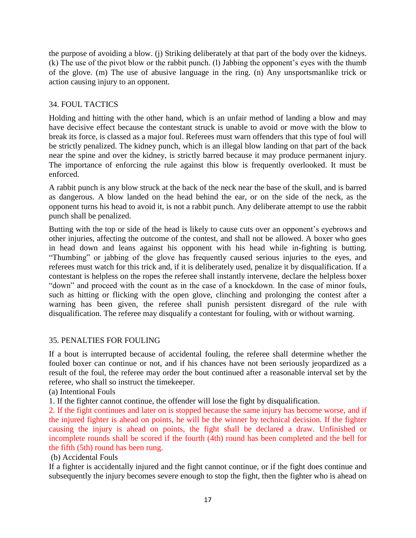the purpose of avoiding a blow. (j) Striking deliberately at that part of the body over the kidneys. (k) The use of the pivot blow or the rabbit punch. (l) Jabbing the opponent's eyes with the thumb of the glove. (m) The use of abusive language in the ring. (n) Any unsportsmanlike trick or action causing injury to an opponent.

# 34. FOUL TACTICS

Holding and hitting with the other hand, which is an unfair method of landing a blow and may have decisive effect because the contestant struck is unable to avoid or move with the blow to break its force, is classed as a major foul. Referees must warn offenders that this type of foul will be strictly penalized. The kidney punch, which is an illegal blow landing on that part of the back near the spine and over the kidney, is strictly barred because it may produce permanent injury. The importance of enforcing the rule against this blow is frequently overlooked. It must be enforced.

A rabbit punch is any blow struck at the back of the neck near the base of the skull, and is barred as dangerous. A blow landed on the head behind the ear, or on the side of the neck, as the opponent turns his head to avoid it, is not a rabbit punch. Any deliberate attempt to use the rabbit punch shall be penalized.

Butting with the top or side of the head is likely to cause cuts over an opponent's eyebrows and other injuries, affecting the outcome of the contest, and shall not be allowed. A boxer who goes in head down and leans against his opponent with his head while in-fighting is butting. "Thumbing" or jabbing of the glove has frequently caused serious injuries to the eyes, and referees must watch for this trick and, if it is deliberately used, penalize it by disqualification. If a contestant is helpless on the ropes the referee shall instantly intervene, declare the helpless boxer "down" and proceed with the count as in the case of a knockdown. In the case of minor fouls, such as hitting or flicking with the open glove, clinching and prolonging the contest after a warning has been given, the referee shall punish persistent disregard of the rule with disqualification. The referee may disqualify a contestant for fouling, with or without warning.

# 35. PENALTIES FOR FOULING

If a bout is interrupted because of accidental fouling, the referee shall determine whether the fouled boxer can continue or not, and if his chances have not been seriously jeopardized as a result of the foul, the referee may order the bout continued after a reasonable interval set by the referee, who shall so instruct the timekeeper.

(a) Intentional Fouls

1. If the fighter cannot continue, the offender will lose the fight by disqualification.

2. If the fight continues and later on is stopped because the same injury has become worse, and if the injured fighter is ahead on points, he will be the winner by technical decision. If the fighter causing the injury is ahead on points, the fight shall be declared a draw. Unfinished or incomplete rounds shall be scored if the fourth (4th) round has been completed and the bell for the fifth (5th) round has been rung.

# (b) Accidental Fouls

If a fighter is accidentally injured and the fight cannot continue, or if the fight does continue and subsequently the injury becomes severe enough to stop the fight, then the fighter who is ahead on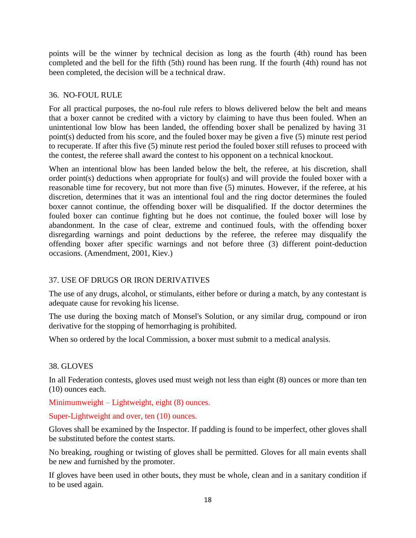points will be the winner by technical decision as long as the fourth (4th) round has been completed and the bell for the fifth (5th) round has been rung. If the fourth (4th) round has not been completed, the decision will be a technical draw.

# 36. NO-FOUL RULE

For all practical purposes, the no-foul rule refers to blows delivered below the belt and means that a boxer cannot be credited with a victory by claiming to have thus been fouled. When an unintentional low blow has been landed, the offending boxer shall be penalized by having 31 point(s) deducted from his score, and the fouled boxer may be given a five (5) minute rest period to recuperate. If after this five (5) minute rest period the fouled boxer still refuses to proceed with the contest, the referee shall award the contest to his opponent on a technical knockout.

When an intentional blow has been landed below the belt, the referee, at his discretion, shall order point(s) deductions when appropriate for foul(s) and will provide the fouled boxer with a reasonable time for recovery, but not more than five (5) minutes. However, if the referee, at his discretion, determines that it was an intentional foul and the ring doctor determines the fouled boxer cannot continue, the offending boxer will be disqualified. If the doctor determines the fouled boxer can continue fighting but he does not continue, the fouled boxer will lose by abandonment. In the case of clear, extreme and continued fouls, with the offending boxer disregarding warnings and point deductions by the referee, the referee may disqualify the offending boxer after specific warnings and not before three (3) different point-deduction occasions. (Amendment, 2001, Kiev.)

# 37. USE OF DRUGS OR IRON DERIVATIVES

The use of any drugs, alcohol, or stimulants, either before or during a match, by any contestant is adequate cause for revoking his license.

The use during the boxing match of Monsel's Solution, or any similar drug, compound or iron derivative for the stopping of hemorrhaging is prohibited.

When so ordered by the local Commission, a boxer must submit to a medical analysis.

# 38. GLOVES

In all Federation contests, gloves used must weigh not less than eight (8) ounces or more than ten (10) ounces each.

Minimumweight – Lightweight, eight (8) ounces.

# Super-Lightweight and over, ten (10) ounces.

Gloves shall be examined by the Inspector. If padding is found to be imperfect, other gloves shall be substituted before the contest starts.

No breaking, roughing or twisting of gloves shall be permitted. Gloves for all main events shall be new and furnished by the promoter.

If gloves have been used in other bouts, they must be whole, clean and in a sanitary condition if to be used again.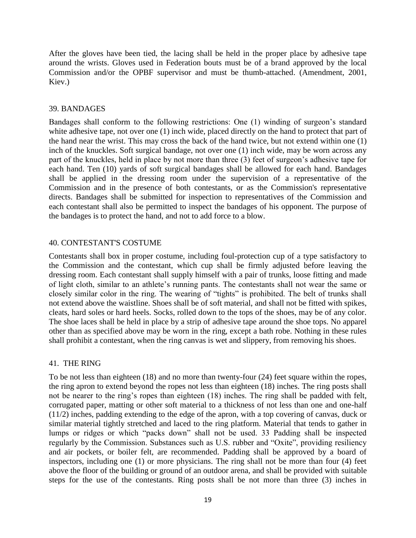After the gloves have been tied, the lacing shall be held in the proper place by adhesive tape around the wrists. Gloves used in Federation bouts must be of a brand approved by the local Commission and/or the OPBF supervisor and must be thumb-attached. (Amendment, 2001, Kiev.)

### 39. BANDAGES

Bandages shall conform to the following restrictions: One (1) winding of surgeon's standard white adhesive tape, not over one (1) inch wide, placed directly on the hand to protect that part of the hand near the wrist. This may cross the back of the hand twice, but not extend within one (1) inch of the knuckles. Soft surgical bandage, not over one (1) inch wide, may be worn across any part of the knuckles, held in place by not more than three (3) feet of surgeon's adhesive tape for each hand. Ten (10) yards of soft surgical bandages shall be allowed for each hand. Bandages shall be applied in the dressing room under the supervision of a representative of the Commission and in the presence of both contestants, or as the Commission's representative directs. Bandages shall be submitted for inspection to representatives of the Commission and each contestant shall also be permitted to inspect the bandages of his opponent. The purpose of the bandages is to protect the hand, and not to add force to a blow.

### 40. CONTESTANT'S COSTUME

Contestants shall box in proper costume, including foul-protection cup of a type satisfactory to the Commission and the contestant, which cup shall be firmly adjusted before leaving the dressing room. Each contestant shall supply himself with a pair of trunks, loose fitting and made of light cloth, similar to an athlete's running pants. The contestants shall not wear the same or closely similar color in the ring. The wearing of "tights" is prohibited. The belt of trunks shall not extend above the waistline. Shoes shall be of soft material, and shall not be fitted with spikes, cleats, hard soles or hard heels. Socks, rolled down to the tops of the shoes, may be of any color. The shoe laces shall be held in place by a strip of adhesive tape around the shoe tops. No apparel other than as specified above may be worn in the ring, except a bath robe. Nothing in these rules shall prohibit a contestant, when the ring canvas is wet and slippery, from removing his shoes.

### 41. THE RING

To be not less than eighteen (18) and no more than twenty-four (24) feet square within the ropes, the ring apron to extend beyond the ropes not less than eighteen (18) inches. The ring posts shall not be nearer to the ring's ropes than eighteen (18) inches. The ring shall be padded with felt, corrugated paper, matting or other soft material to a thickness of not less than one and one-half (11/2) inches, padding extending to the edge of the apron, with a top covering of canvas, duck or similar material tightly stretched and laced to the ring platform. Material that tends to gather in lumps or ridges or which "packs down" shall not be used. 33 Padding shall be inspected regularly by the Commission. Substances such as U.S. rubber and "Oxite", providing resiliency and air pockets, or boiler felt, are recommended. Padding shall be approved by a board of inspectors, including one (1) or more physicians. The ring shall not be more than four (4) feet above the floor of the building or ground of an outdoor arena, and shall be provided with suitable steps for the use of the contestants. Ring posts shall be not more than three (3) inches in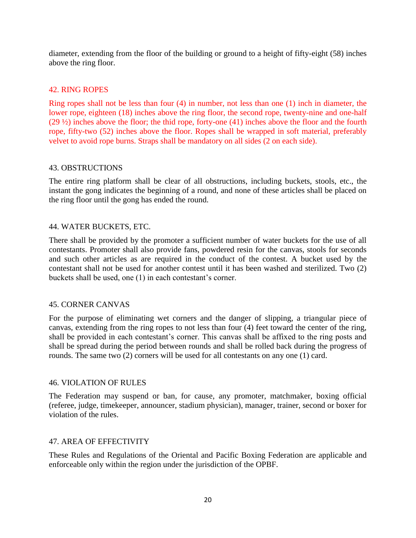diameter, extending from the floor of the building or ground to a height of fifty-eight (58) inches above the ring floor.

## 42. RING ROPES

Ring ropes shall not be less than four (4) in number, not less than one (1) inch in diameter, the lower rope, eighteen (18) inches above the ring floor, the second rope, twenty-nine and one-half (29 ½) inches above the floor; the thid rope, forty-one (41) inches above the floor and the fourth rope, fifty-two (52) inches above the floor. Ropes shall be wrapped in soft material, preferably velvet to avoid rope burns. Straps shall be mandatory on all sides (2 on each side).

### 43. OBSTRUCTIONS

The entire ring platform shall be clear of all obstructions, including buckets, stools, etc., the instant the gong indicates the beginning of a round, and none of these articles shall be placed on the ring floor until the gong has ended the round.

### 44. WATER BUCKETS, ETC.

There shall be provided by the promoter a sufficient number of water buckets for the use of all contestants. Promoter shall also provide fans, powdered resin for the canvas, stools for seconds and such other articles as are required in the conduct of the contest. A bucket used by the contestant shall not be used for another contest until it has been washed and sterilized. Two (2) buckets shall be used, one (1) in each contestant's corner.

### 45. CORNER CANVAS

For the purpose of eliminating wet corners and the danger of slipping, a triangular piece of canvas, extending from the ring ropes to not less than four (4) feet toward the center of the ring, shall be provided in each contestant's corner. This canvas shall be affixed to the ring posts and shall be spread during the period between rounds and shall be rolled back during the progress of rounds. The same two (2) corners will be used for all contestants on any one (1) card.

### 46. VIOLATION OF RULES

The Federation may suspend or ban, for cause, any promoter, matchmaker, boxing official (referee, judge, timekeeper, announcer, stadium physician), manager, trainer, second or boxer for violation of the rules.

### 47. AREA OF EFFECTIVITY

These Rules and Regulations of the Oriental and Pacific Boxing Federation are applicable and enforceable only within the region under the jurisdiction of the OPBF.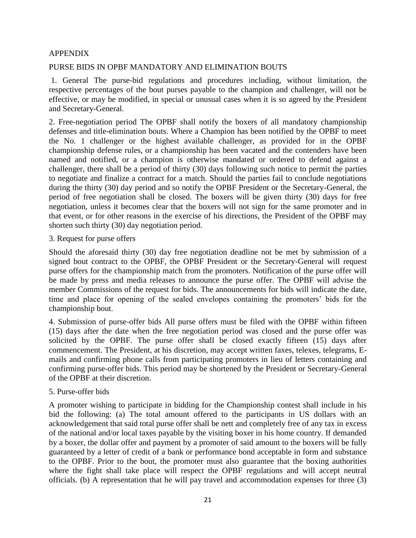### APPENDIX

### PURSE BIDS IN OPBF MANDATORY AND ELIMINATION BOUTS

1. General The purse-bid regulations and procedures including, without limitation, the respective percentages of the bout purses payable to the champion and challenger, will not be effective, or may be modified, in special or unusual cases when it is so agreed by the President and Secretary-General.

2. Free-negotiation period The OPBF shall notify the boxers of all mandatory championship defenses and title-elimination bouts. Where a Champion has been notified by the OPBF to meet the No. 1 challenger or the highest available challenger, as provided for in the OPBF championship defense rules, or a championship has been vacated and the contenders have been named and notified, or a champion is otherwise mandated or ordered to defend against a challenger, there shall be a period of thirty (30) days following such notice to permit the parties to negotiate and finalize a contract for a match. Should the parties fail to conclude negotiations during the thirty (30) day period and so notify the OPBF President or the Secretary-General, the period of free negotiation shall be closed. The boxers will be given thirty (30) days for free negotiation, unless it becomes clear that the boxers will not sign for the same promoter and in that event, or for other reasons in the exercise of his directions, the President of the OPBF may shorten such thirty (30) day negotiation period.

3. Request for purse offers

Should the aforesaid thirty (30) day free negotiation deadline not be met by submission of a signed bout contract to the OPBF, the OPBF President or the Secretary-General will request purse offers for the championship match from the promoters. Notification of the purse offer will be made by press and media releases to announce the purse offer. The OPBF will advise the member Commissions of the request for bids. The announcements for bids will indicate the date, time and place for opening of the sealed envelopes containing the promoters' bids for the championship bout.

4. Submission of purse-offer bids All purse offers must be filed with the OPBF within fifteen (15) days after the date when the free negotiation period was closed and the purse offer was solicited by the OPBF. The purse offer shall be closed exactly fifteen (15) days after commencement. The President, at his discretion, may accept written faxes, telexes, telegrams, Emails and confirming phone calls from participating promoters in lieu of letters containing and confirming purse-offer bids. This period may be shortened by the President or Secretary-General of the OPBF at their discretion.

### 5. Purse-offer bids

A promoter wishing to participate in bidding for the Championship contest shall include in his bid the following: (a) The total amount offered to the participants in US dollars with an acknowledgement that said total purse offer shall be nett and completely free of any tax in excess of the national and/or local taxes payable by the visiting boxer in his home country. If demanded by a boxer, the dollar offer and payment by a promoter of said amount to the boxers will be fully guaranteed by a letter of credit of a bank or performance bond acceptable in form and substance to the OPBF. Prior to the bout, the promoter must also guarantee that the boxing authorities where the fight shall take place will respect the OPBF regulations and will accept neutral officials. (b) A representation that he will pay travel and accommodation expenses for three (3)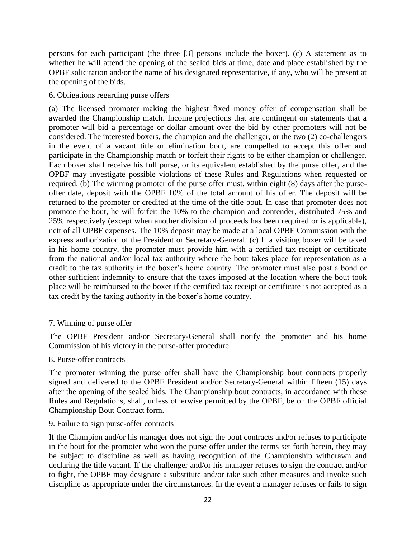persons for each participant (the three [3] persons include the boxer). (c) A statement as to whether he will attend the opening of the sealed bids at time, date and place established by the OPBF solicitation and/or the name of his designated representative, if any, who will be present at the opening of the bids.

### 6. Obligations regarding purse offers

(a) The licensed promoter making the highest fixed money offer of compensation shall be awarded the Championship match. Income projections that are contingent on statements that a promoter will bid a percentage or dollar amount over the bid by other promoters will not be considered. The interested boxers, the champion and the challenger, or the two (2) co-challengers in the event of a vacant title or elimination bout, are compelled to accept this offer and participate in the Championship match or forfeit their rights to be either champion or challenger. Each boxer shall receive his full purse, or its equivalent established by the purse offer, and the OPBF may investigate possible violations of these Rules and Regulations when requested or required. (b) The winning promoter of the purse offer must, within eight (8) days after the purseoffer date, deposit with the OPBF 10% of the total amount of his offer. The deposit will be returned to the promoter or credited at the time of the title bout. In case that promoter does not promote the bout, he will forfeit the 10% to the champion and contender, distributed 75% and 25% respectively (except when another division of proceeds has been required or is applicable), nett of all OPBF expenses. The 10% deposit may be made at a local OPBF Commission with the express authorization of the President or Secretary-General. (c) If a visiting boxer will be taxed in his home country, the promoter must provide him with a certified tax receipt or certificate from the national and/or local tax authority where the bout takes place for representation as a credit to the tax authority in the boxer's home country. The promoter must also post a bond or other sufficient indemnity to ensure that the taxes imposed at the location where the bout took place will be reimbursed to the boxer if the certified tax receipt or certificate is not accepted as a tax credit by the taxing authority in the boxer's home country.

### 7. Winning of purse offer

The OPBF President and/or Secretary-General shall notify the promoter and his home Commission of his victory in the purse-offer procedure.

### 8. Purse-offer contracts

The promoter winning the purse offer shall have the Championship bout contracts properly signed and delivered to the OPBF President and/or Secretary-General within fifteen (15) days after the opening of the sealed bids. The Championship bout contracts, in accordance with these Rules and Regulations, shall, unless otherwise permitted by the OPBF, be on the OPBF official Championship Bout Contract form.

### 9. Failure to sign purse-offer contracts

If the Champion and/or his manager does not sign the bout contracts and/or refuses to participate in the bout for the promoter who won the purse offer under the terms set forth herein, they may be subject to discipline as well as having recognition of the Championship withdrawn and declaring the title vacant. If the challenger and/or his manager refuses to sign the contract and/or to fight, the OPBF may designate a substitute and/or take such other measures and invoke such discipline as appropriate under the circumstances. In the event a manager refuses or fails to sign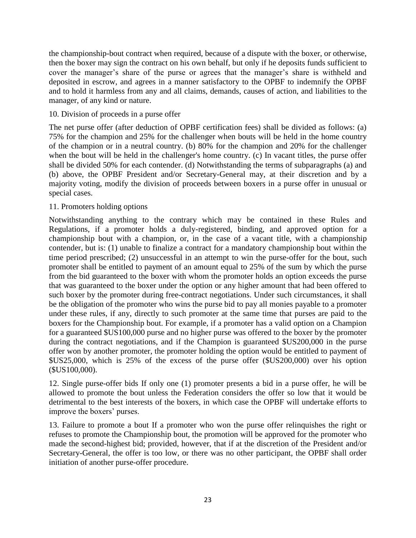the championship-bout contract when required, because of a dispute with the boxer, or otherwise, then the boxer may sign the contract on his own behalf, but only if he deposits funds sufficient to cover the manager's share of the purse or agrees that the manager's share is withheld and deposited in escrow, and agrees in a manner satisfactory to the OPBF to indemnify the OPBF and to hold it harmless from any and all claims, demands, causes of action, and liabilities to the manager, of any kind or nature.

### 10. Division of proceeds in a purse offer

The net purse offer (after deduction of OPBF certification fees) shall be divided as follows: (a) 75% for the champion and 25% for the challenger when bouts will be held in the home country of the champion or in a neutral country. (b) 80% for the champion and 20% for the challenger when the bout will be held in the challenger's home country. (c) In vacant titles, the purse offer shall be divided 50% for each contender. (d) Notwithstanding the terms of subparagraphs (a) and (b) above, the OPBF President and/or Secretary-General may, at their discretion and by a majority voting, modify the division of proceeds between boxers in a purse offer in unusual or special cases.

## 11. Promoters holding options

Notwithstanding anything to the contrary which may be contained in these Rules and Regulations, if a promoter holds a duly-registered, binding, and approved option for a championship bout with a champion, or, in the case of a vacant title, with a championship contender, but is: (1) unable to finalize a contract for a mandatory championship bout within the time period prescribed; (2) unsuccessful in an attempt to win the purse-offer for the bout, such promoter shall be entitled to payment of an amount equal to 25% of the sum by which the purse from the bid guaranteed to the boxer with whom the promoter holds an option exceeds the purse that was guaranteed to the boxer under the option or any higher amount that had been offered to such boxer by the promoter during free-contract negotiations. Under such circumstances, it shall be the obligation of the promoter who wins the purse bid to pay all monies payable to a promoter under these rules, if any, directly to such promoter at the same time that purses are paid to the boxers for the Championship bout. For example, if a promoter has a valid option on a Champion for a guaranteed \$US100,000 purse and no higher purse was offered to the boxer by the promoter during the contract negotiations, and if the Champion is guaranteed \$US200,000 in the purse offer won by another promoter, the promoter holding the option would be entitled to payment of \$US25,000, which is 25% of the excess of the purse offer (\$US200,000) over his option (\$US100,000).

12. Single purse-offer bids If only one (1) promoter presents a bid in a purse offer, he will be allowed to promote the bout unless the Federation considers the offer so low that it would be detrimental to the best interests of the boxers, in which case the OPBF will undertake efforts to improve the boxers' purses.

13. Failure to promote a bout If a promoter who won the purse offer relinquishes the right or refuses to promote the Championship bout, the promotion will be approved for the promoter who made the second-highest bid; provided, however, that if at the discretion of the President and/or Secretary-General, the offer is too low, or there was no other participant, the OPBF shall order initiation of another purse-offer procedure.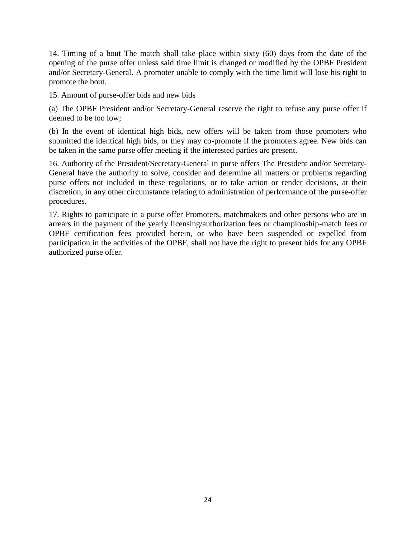14. Timing of a bout The match shall take place within sixty (60) days from the date of the opening of the purse offer unless said time limit is changed or modified by the OPBF President and/or Secretary-General. A promoter unable to comply with the time limit will lose his right to promote the bout.

15. Amount of purse-offer bids and new bids

(a) The OPBF President and/or Secretary-General reserve the right to refuse any purse offer if deemed to be too low;

(b) In the event of identical high bids, new offers will be taken from those promoters who submitted the identical high bids, or they may co-promote if the promoters agree. New bids can be taken in the same purse offer meeting if the interested parties are present.

16. Authority of the President/Secretary-General in purse offers The President and/or Secretary-General have the authority to solve, consider and determine all matters or problems regarding purse offers not included in these regulations, or to take action or render decisions, at their discretion, in any other circumstance relating to administration of performance of the purse-offer procedures.

17. Rights to participate in a purse offer Promoters, matchmakers and other persons who are in arrears in the payment of the yearly licensing/authorization fees or championship-match fees or OPBF certification fees provided herein, or who have been suspended or expelled from participation in the activities of the OPBF, shall not have the right to present bids for any OPBF authorized purse offer.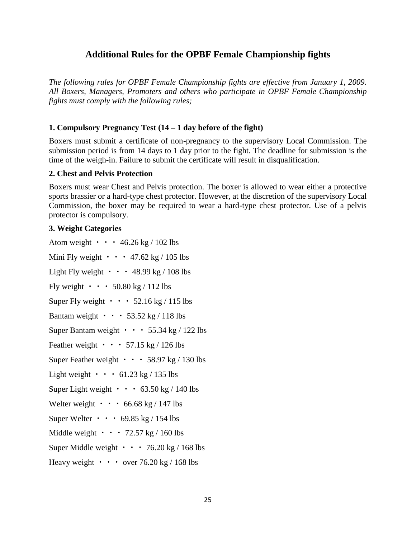# **Additional Rules for the OPBF Female Championship fights**

*The following rules for OPBF Female Championship fights are effective from January 1, 2009. All Boxers, Managers, Promoters and others who participate in OPBF Female Championship fights must comply with the following rules;* 

## **1. Compulsory Pregnancy Test (14 – 1 day before of the fight)**

Boxers must submit a certificate of non-pregnancy to the supervisory Local Commission. The submission period is from 14 days to 1 day prior to the fight. The deadline for submission is the time of the weigh-in. Failure to submit the certificate will result in disqualification.

### **2. Chest and Pelvis Protection**

Boxers must wear Chest and Pelvis protection. The boxer is allowed to wear either a protective sports brassier or a hard-type chest protector. However, at the discretion of the supervisory Local Commission, the boxer may be required to wear a hard-type chest protector. Use of a pelvis protector is compulsory.

### **3. Weight Categories**

Atom weight  $\cdot \cdot \cdot 46.26 \text{ kg} / 102 \text{ lbs}$ Mini Fly weight  $\cdot \cdot \cdot$  47.62 kg / 105 lbs Light Fly weight  $\cdot \cdot \cdot 48.99$  kg / 108 lbs Fly weight  $\cdot \cdot \cdot 50.80$  kg / 112 lbs Super Fly weight  $\cdot \cdot \cdot$  52.16 kg / 115 lbs Bantam weight  $\cdot \cdot \cdot 53.52 \text{ kg} / 118 \text{ lbs}$ Super Bantam weight  $\cdot \cdot \cdot 55.34$  kg / 122 lbs Feather weight  $\cdot \cdot \cdot 57.15 \text{ kg} / 126 \text{ lbs}$ Super Feather weight  $\cdot \cdot \cdot 58.97$  kg / 130 lbs Light weight  $\cdot \cdot \cdot 61.23 \text{ kg} / 135 \text{ lbs}$ Super Light weight  $\cdot \cdot \cdot 63.50 \text{ kg} / 140 \text{ lbs}$ Welter weight  $\cdot \cdot \cdot 66.68 \text{ kg} / 147 \text{ lbs}$ Super Welter • • • 69.85 kg / 154 lbs Middle weight  $\cdot \cdot \cdot 72.57 \text{ kg} / 160 \text{ lbs}$ Super Middle weight  $\cdot \cdot \cdot 76.20 \text{ kg} / 168 \text{ lbs}$ Heavy weight  $\cdot \cdot \cdot$  over 76.20 kg / 168 lbs